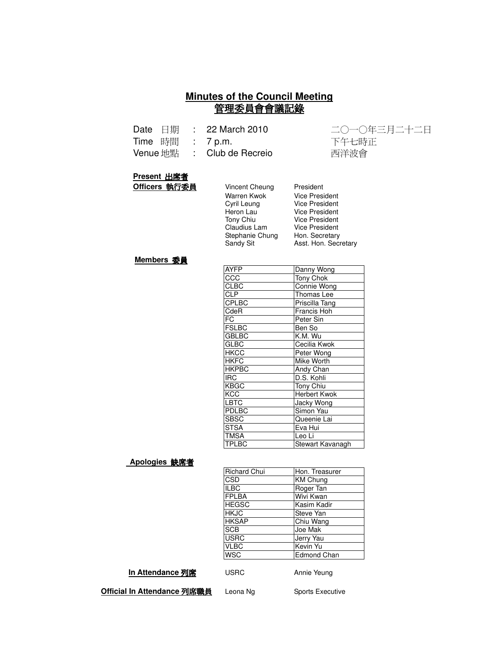#### **Minutes of the Council Meeting** 管理委員會會議記錄

|                  | Date 日期 : 22 March 2010    | 二〇一〇年 |
|------------------|----------------------------|-------|
| Time 時間 : 7 p.m. |                            | 下午七時正 |
|                  | Venue 地點 : Club de Recreio | 西洋波會  |

二〇一〇年三月二十二日 西洋波會

#### **Present 出席者**

**Officers 執行委員** 

| Vincent Cheung  | President             |
|-----------------|-----------------------|
| Warren Kwok     | <b>Vice President</b> |
| Cyril Leung     | <b>Vice President</b> |
| Heron Lau       | <b>Vice President</b> |
| Tony Chiu       | <b>Vice President</b> |
| Claudius Lam    | Vice President        |
| Stephanie Chung | Hon. Secretary        |
| Sandy Sit       | Asst. Hon. Secretary  |
|                 |                       |

#### **Members 委員**

| <b>AYFP</b>  | Danny Wong          |
|--------------|---------------------|
| CCC          | Tony Chok           |
| <b>CLBC</b>  | Connie Wong         |
| <b>CLP</b>   | Thomas Lee          |
| <b>CPLBC</b> | Priscilla Tang      |
| CdeR         | Francis Hoh         |
| FC           | Peter Sin           |
| <b>FSLBC</b> | Ben So              |
| <b>GBLBC</b> | K.M. Wu             |
| <b>GLBC</b>  | Cecilia Kwok        |
| <b>HKCC</b>  | Peter Wong          |
| <b>HKFC</b>  | Mike Worth          |
| <b>HKPBC</b> | Andy Chan           |
| <b>IRC</b>   | D.S. Kohli          |
| <b>KBGC</b>  | Tony Chiu           |
| KCC          | <b>Herbert Kwok</b> |
| LBTC         | Jacky Wong          |
| PDLBC        | Simon Yau           |
| <b>SBSC</b>  | Queenie Lai         |
| <b>STSA</b>  | Eva Hui             |
| <b>TMSA</b>  | Leo Li              |
| TPLBC        | Stewart Kavanagh    |

#### <u>Apologies 缺席者</u>

| <b>Richard Chui</b> | Hon. Treasurer     |
|---------------------|--------------------|
| CSD                 | <b>KM Chung</b>    |
| <b>ILBC</b>         | Roger Tan          |
| <b>FPLBA</b>        | Wivi Kwan          |
| <b>HEGSC</b>        | Kasim Kadir        |
| <b>HKJC</b>         | Steve Yan          |
| <b>HKSAP</b>        | Chiu Wang          |
| <b>SCB</b>          | Joe Mak            |
| <b>USRC</b>         | Jerry Yau          |
| <b>VLBC</b>         | Kevin Yu           |
| <b>WSC</b>          | <b>Edmond Chan</b> |
|                     |                    |

**In Attendance 列席** 

USRC Annie Yeung

**Official In Attendance 列席職員** l

Leona Ng Sports Executive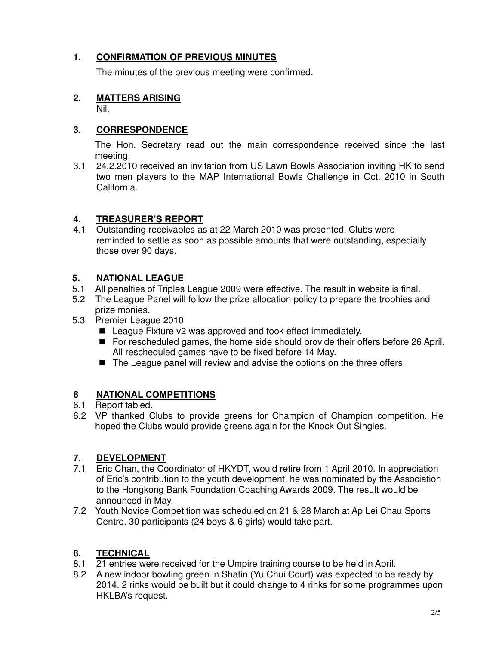#### **1. CONFIRMATION OF PREVIOUS MINUTES**

The minutes of the previous meeting were confirmed.

#### **2. MATTERS ARISING**

Nil.

## **3. CORRESPONDENCE**

The Hon. Secretary read out the main correspondence received since the last meeting.

3.1 24.2.2010 received an invitation from US Lawn Bowls Association inviting HK to send two men players to the MAP International Bowls Challenge in Oct. 2010 in South California.

### **4. TREASURER'S REPORT**

4.1 Outstanding receivables as at 22 March 2010 was presented. Clubs were reminded to settle as soon as possible amounts that were outstanding, especially those over 90 days.

### **5. NATIONAL LEAGUE**

- 5.1 All penalties of Triples League 2009 were effective. The result in website is final.
- 5.2 The League Panel will follow the prize allocation policy to prepare the trophies and prize monies.
- 5.3 Premier League 2010
	- League Fixture v2 was approved and took effect immediately.
	- For rescheduled games, the home side should provide their offers before 26 April. All rescheduled games have to be fixed before 14 May.
	- The League panel will review and advise the options on the three offers.

#### **6 NATIONAL COMPETITIONS**

- 6.1 Report tabled.
- 6.2 VP thanked Clubs to provide greens for Champion of Champion competition. He hoped the Clubs would provide greens again for the Knock Out Singles.

## **7. DEVELOPMENT**

- 7.1 Eric Chan, the Coordinator of HKYDT, would retire from 1 April 2010. In appreciation of Eric's contribution to the youth development, he was nominated by the Association to the Hongkong Bank Foundation Coaching Awards 2009. The result would be announced in May.
- 7.2 Youth Novice Competition was scheduled on 21 & 28 March at Ap Lei Chau Sports Centre. 30 participants (24 boys & 6 girls) would take part.

## **8. TECHNICAL**

- 8.1 21 entries were received for the Umpire training course to be held in April.
- 8.2 A new indoor bowling green in Shatin (Yu Chui Court) was expected to be ready by 2014. 2 rinks would be built but it could change to 4 rinks for some programmes upon HKLBA's request.